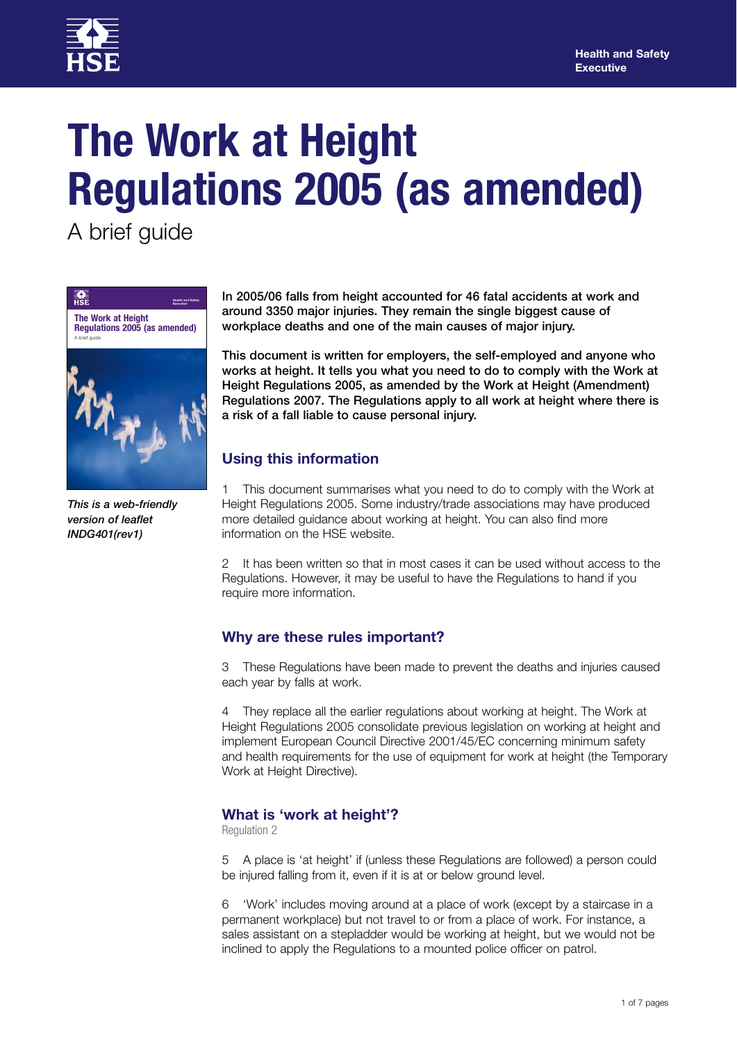

# **The Work at Height Regulations 2005 (as amended)**

A brief guide



*This is a web-friendly version of leaflet INDG401(rev1)*

**In 2005/06 falls from height accounted for 46 fatal accidents at work and around 3350 major injuries. They remain the single biggest cause of workplace deaths and one of the main causes of major injury.**

**This document is written for employers, the self-employed and anyone who works at height. It tells you what you need to do to comply with the Work at Height Regulations 2005, as amended by the Work at Height (Amendment) Regulations 2007. The Regulations apply to all work at height where there is a risk of a fall liable to cause personal injury.** 

# **Using this information**

1 This document summarises what you need to do to comply with the Work at Height Regulations 2005. Some industry/trade associations may have produced more detailed guidance about working at height. You can also find more information on the HSE website.

2 It has been written so that in most cases it can be used without access to the Regulations. However, it may be useful to have the Regulations to hand if you require more information.

# **Why are these rules important?**

3 These Regulations have been made to prevent the deaths and injuries caused each year by falls at work.

4 They replace all the earlier regulations about working at height. The Work at Height Regulations 2005 consolidate previous legislation on working at height and implement European Council Directive 2001/45/EC concerning minimum safety and health requirements for the use of equipment for work at height (the Temporary Work at Height Directive).

# **What is 'work at height'?**

Regulation 2

5 A place is 'at height' if (unless these Regulations are followed) a person could be injured falling from it, even if it is at or below ground level.

6 'Work' includes moving around at a place of work (except by a staircase in a permanent workplace) but not travel to or from a place of work. For instance, a sales assistant on a stepladder would be working at height, but we would not be inclined to apply the Regulations to a mounted police officer on patrol.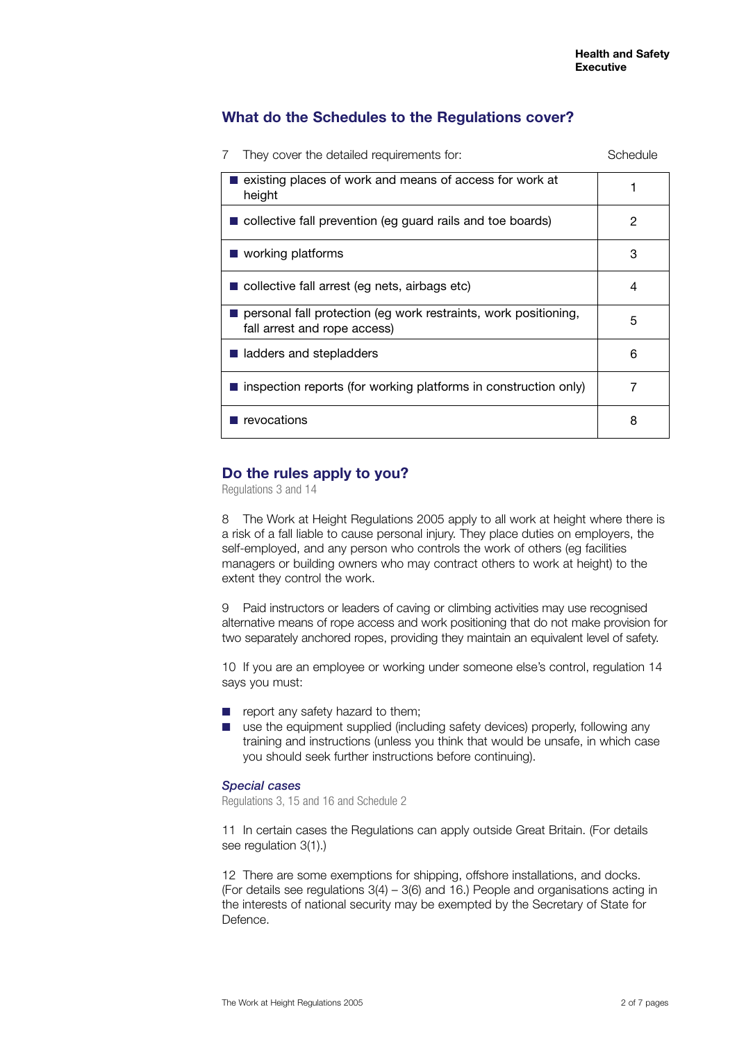# **What do the Schedules to the Regulations cover?**

| They cover the detailed requirements for:<br>7                                                  | Schedule |
|-------------------------------------------------------------------------------------------------|----------|
| existing places of work and means of access for work at<br>height                               |          |
| $\blacksquare$ collective fall prevention (eg guard rails and toe boards)                       | 2        |
| $\blacksquare$ working platforms                                                                | 3        |
| $\blacksquare$ collective fall arrest (eg nets, airbags etc)                                    | 4        |
| personal fall protection (eg work restraints, work positioning,<br>fall arrest and rope access) | 5        |
| ladders and stepladders                                                                         | 6        |
| $\blacksquare$ inspection reports (for working platforms in construction only)                  | 7        |
| $\blacksquare$ revocations                                                                      | 8        |

# **Do the rules apply to you?**

Regulations 3 and 14

8 The Work at Height Regulations 2005 apply to all work at height where there is a risk of a fall liable to cause personal injury. They place duties on employers, the self-employed, and any person who controls the work of others (eg facilities managers or building owners who may contract others to work at height) to the extent they control the work.

9 Paid instructors or leaders of caving or climbing activities may use recognised alternative means of rope access and work positioning that do not make provision for two separately anchored ropes, providing they maintain an equivalent level of safety.

10 If you are an employee or working under someone else's control, regulation 14 says you must:

- report any safety hazard to them;
- use the equipment supplied (including safety devices) properly, following any training and instructions (unless you think that would be unsafe, in which case you should seek further instructions before continuing).

#### *Special cases*

Regulations 3, 15 and 16 and Schedule 2

11 In certain cases the Regulations can apply outside Great Britain. (For details see regulation 3(1).)

12 There are some exemptions for shipping, offshore installations, and docks. (For details see regulations 3(4) – 3(6) and 16.) People and organisations acting in the interests of national security may be exempted by the Secretary of State for Defence.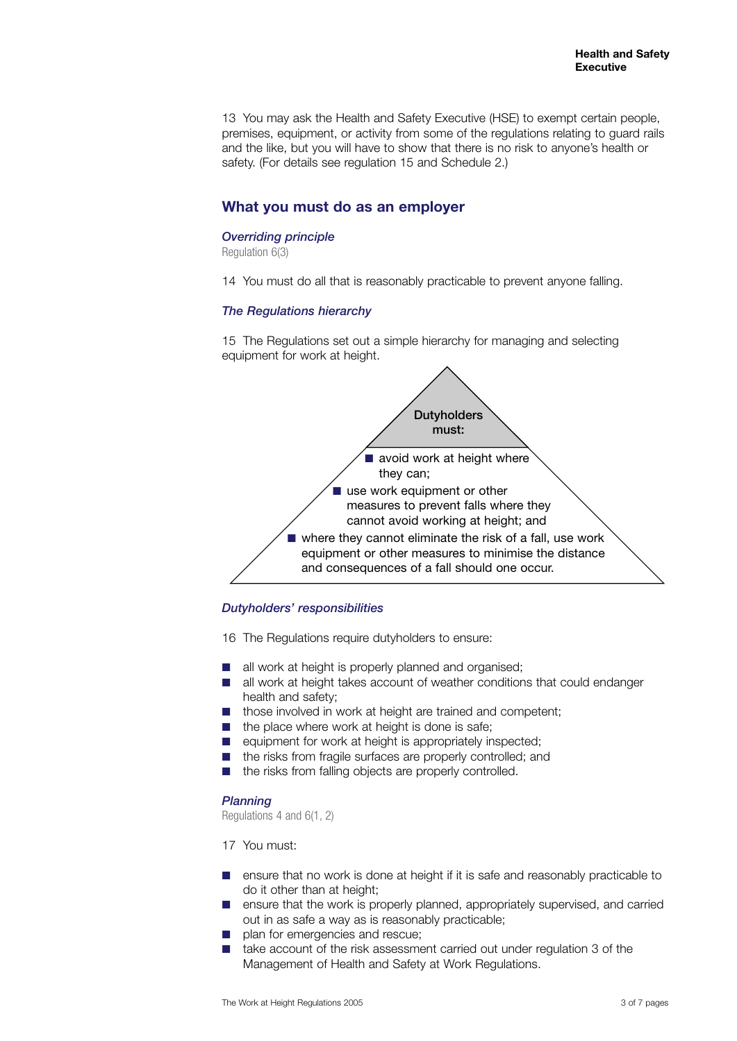13 You may ask the Health and Safety Executive (HSE) to exempt certain people, premises, equipment, or activity from some of the regulations relating to guard rails and the like, but you will have to show that there is no risk to anyone's health or safety. (For details see regulation 15 and Schedule 2.)

# **What you must do as an employer**

## *Overriding principle*

Regulation 6(3)

14 You must do all that is reasonably practicable to prevent anyone falling.

## *The Regulations hierarchy*

15 The Regulations set out a simple hierarchy for managing and selecting equipment for work at height.



## *Dutyholders' responsibilities*

16 The Regulations require dutyholders to ensure:

- all work at height is properly planned and organised;
- all work at height takes account of weather conditions that could endanger health and safety;
- those involved in work at height are trained and competent;
- the place where work at height is done is safe;
- equipment for work at height is appropriately inspected;
- the risks from fragile surfaces are properly controlled; and
- the risks from falling objects are properly controlled.

#### *Planning*

Regulations 4 and 6(1, 2)

17 You must:

- ensure that no work is done at height if it is safe and reasonably practicable to do it other than at height;
- ensure that the work is properly planned, appropriately supervised, and carried out in as safe a way as is reasonably practicable;
- plan for emergencies and rescue;
- take account of the risk assessment carried out under regulation 3 of the Management of Health and Safety at Work Regulations.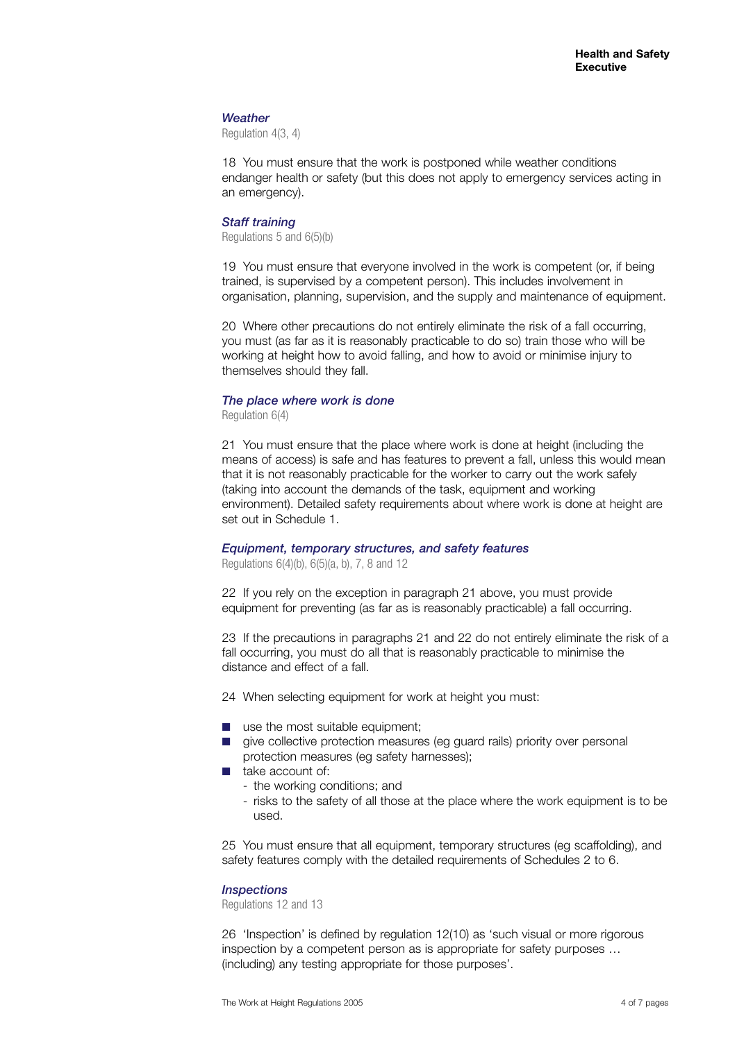#### *Weather*

Regulation 4(3, 4)

18 You must ensure that the work is postponed while weather conditions endanger health or safety (but this does not apply to emergency services acting in an emergency).

#### *Staff training*

Regulations 5 and 6(5)(b)

19 You must ensure that everyone involved in the work is competent (or, if being trained, is supervised by a competent person). This includes involvement in organisation, planning, supervision, and the supply and maintenance of equipment.

20 Where other precautions do not entirely eliminate the risk of a fall occurring, you must (as far as it is reasonably practicable to do so) train those who will be working at height how to avoid falling, and how to avoid or minimise injury to themselves should they fall.

### *The place where work is done*

Regulation 6(4)

21 You must ensure that the place where work is done at height (including the means of access) is safe and has features to prevent a fall, unless this would mean that it is not reasonably practicable for the worker to carry out the work safely (taking into account the demands of the task, equipment and working environment). Detailed safety requirements about where work is done at height are set out in Schedule 1.

## *Equipment, temporary structures, and safety features*

Regulations 6(4)(b), 6(5)(a, b), 7, 8 and 12

22 If you rely on the exception in paragraph 21 above, you must provide equipment for preventing (as far as is reasonably practicable) a fall occurring.

23 If the precautions in paragraphs 21 and 22 do not entirely eliminate the risk of a fall occurring, you must do all that is reasonably practicable to minimise the distance and effect of a fall.

24 When selecting equipment for work at height you must:

- use the most suitable equipment;
- give collective protection measures (eg guard rails) priority over personal protection measures (eg safety harnesses);
- take account of:
	- the working conditions; and
	- risks to the safety of all those at the place where the work equipment is to be used.

25 You must ensure that all equipment, temporary structures (eg scaffolding), and safety features comply with the detailed requirements of Schedules 2 to 6.

#### *Inspections*

Regulations 12 and 13

26 'Inspection' is defined by regulation 12(10) as 'such visual or more rigorous inspection by a competent person as is appropriate for safety purposes … (including) any testing appropriate for those purposes'.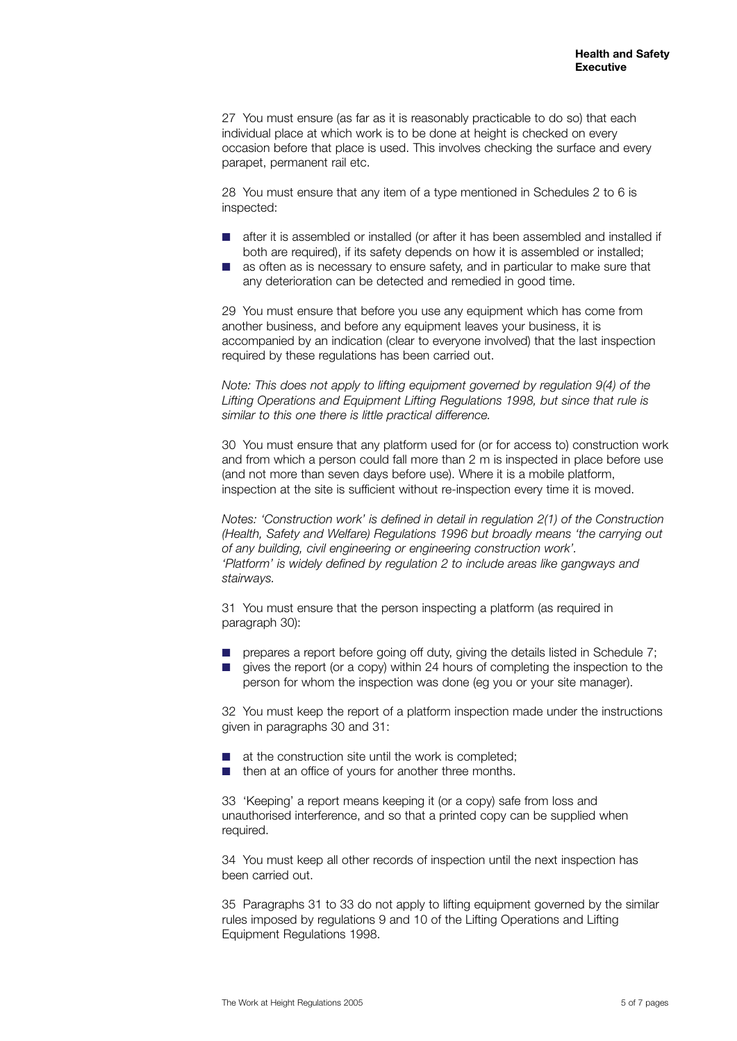27 You must ensure (as far as it is reasonably practicable to do so) that each individual place at which work is to be done at height is checked on every occasion before that place is used. This involves checking the surface and every parapet, permanent rail etc.

28 You must ensure that any item of a type mentioned in Schedules 2 to 6 is inspected:

- after it is assembled or installed (or after it has been assembled and installed if both are required), if its safety depends on how it is assembled or installed;
- as often as is necessary to ensure safety, and in particular to make sure that any deterioration can be detected and remedied in good time.

29 You must ensure that before you use any equipment which has come from another business, and before any equipment leaves your business, it is accompanied by an indication (clear to everyone involved) that the last inspection required by these regulations has been carried out.

*Note: This does not apply to lifting equipment governed by regulation 9(4) of the Lifting Operations and Equipment Lifting Regulations 1998, but since that rule is similar to this one there is little practical difference.*

30 You must ensure that any platform used for (or for access to) construction work and from which a person could fall more than 2 m is inspected in place before use (and not more than seven days before use). Where it is a mobile platform, inspection at the site is sufficient without re-inspection every time it is moved.

*Notes: 'Construction work' is defined in detail in regulation 2(1) of the Construction (Health, Safety and Welfare) Regulations 1996 but broadly means 'the carrying out of any building, civil engineering or engineering construction work'. 'Platform' is widely defined by regulation 2 to include areas like gangways and stairways.*

31 You must ensure that the person inspecting a platform (as required in paragraph 30):

- prepares a report before going off duty, giving the details listed in Schedule 7;
	- gives the report (or a copy) within 24 hours of completing the inspection to the person for whom the inspection was done (eg you or your site manager).

32 You must keep the report of a platform inspection made under the instructions given in paragraphs 30 and 31:

- at the construction site until the work is completed:
- then at an office of yours for another three months.

33 'Keeping' a report means keeping it (or a copy) safe from loss and unauthorised interference, and so that a printed copy can be supplied when required.

34 You must keep all other records of inspection until the next inspection has been carried out.

35 Paragraphs 31 to 33 do not apply to lifting equipment governed by the similar rules imposed by regulations 9 and 10 of the Lifting Operations and Lifting Equipment Regulations 1998.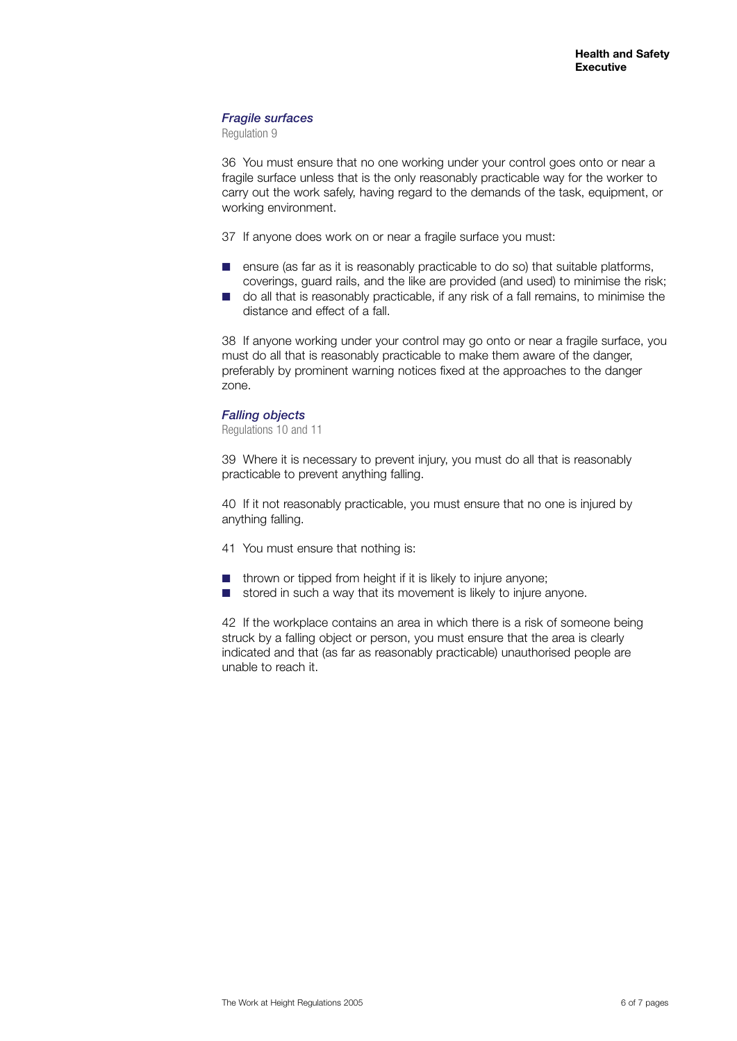## *Fragile surfaces*

Regulation 9

36 You must ensure that no one working under your control goes onto or near a fragile surface unless that is the only reasonably practicable way for the worker to carry out the work safely, having regard to the demands of the task, equipment, or working environment.

- 37 If anyone does work on or near a fragile surface you must:
- ensure (as far as it is reasonably practicable to do so) that suitable platforms, coverings, guard rails, and the like are provided (and used) to minimise the risk;
- do all that is reasonably practicable, if any risk of a fall remains, to minimise the distance and effect of a fall.

38 If anyone working under your control may go onto or near a fragile surface, you must do all that is reasonably practicable to make them aware of the danger, preferably by prominent warning notices fixed at the approaches to the danger zone.

#### *Falling objects*

Regulations 10 and 11

39 Where it is necessary to prevent injury, you must do all that is reasonably practicable to prevent anything falling.

40 If it not reasonably practicable, you must ensure that no one is injured by anything falling.

- 41 You must ensure that nothing is:
- thrown or tipped from height if it is likely to injure anyone;
- stored in such a way that its movement is likely to injure anyone.

42 If the workplace contains an area in which there is a risk of someone being struck by a falling object or person, you must ensure that the area is clearly indicated and that (as far as reasonably practicable) unauthorised people are unable to reach it.